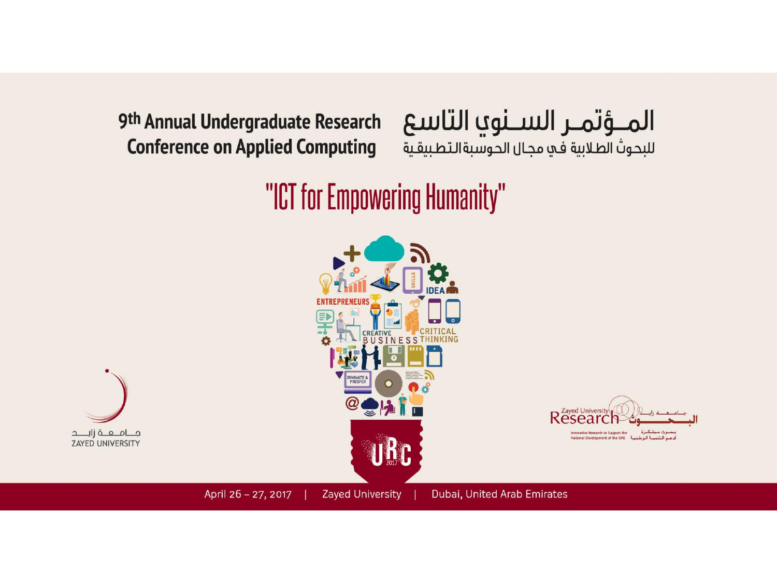9th Annual Undergraduate Research **Conference on Applied Computing** 

#### المؤتمر السنوي التاسع للبحوث الطلابية في مجال الحوسبةالتطبيقية

#### "ICT for Empowering Humanity"

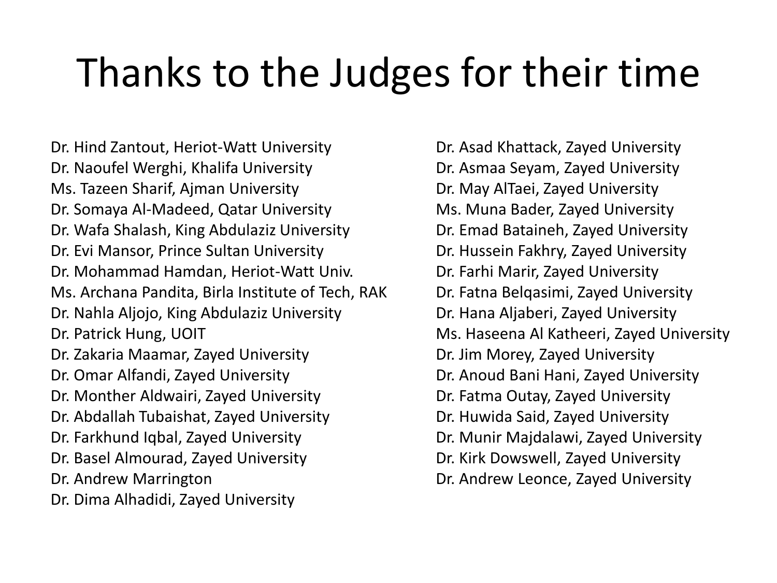## Thanks to the Judges for their time

Dr. Hind Zantout, Heriot-Watt University Dr. Naoufel Werghi, Khalifa University Ms. Tazeen Sharif, Ajman University Dr. Somaya Al-Madeed, Qatar University Dr. Wafa Shalash, King Abdulaziz University Dr. Evi Mansor, Prince Sultan University Dr. Mohammad Hamdan, Heriot-Watt Univ. Ms. Archana Pandita, Birla Institute of Tech, RAK Dr. Nahla Aljojo, King Abdulaziz University Dr. Patrick Hung, UOIT Dr. Zakaria Maamar, Zayed University Dr. Omar Alfandi, Zayed University Dr. Monther Aldwairi, Zayed University Dr. Abdallah Tubaishat, Zayed University Dr. Farkhund Iqbal, Zayed University Dr. Basel Almourad, Zayed University Dr. Andrew Marrington Dr. Dima Alhadidi, Zayed University

Dr. Asad Khattack, Zayed University Dr. Asmaa Seyam, Zayed University Dr. May AlTaei, Zayed University Ms. Muna Bader, Zayed University Dr. Emad Bataineh, Zayed University Dr. Hussein Fakhry, Zayed University Dr. Farhi Marir, Zayed University Dr. Fatna Belqasimi, Zayed University Dr. Hana Aljaberi, Zayed University Ms. Haseena Al Katheeri, Zayed University Dr. Jim Morey, Zayed University Dr. Anoud Bani Hani, Zayed University Dr. Fatma Outay, Zayed University Dr. Huwida Said, Zayed University Dr. Munir Majdalawi, Zayed University Dr. Kirk Dowswell, Zayed University Dr. Andrew Leonce, Zayed University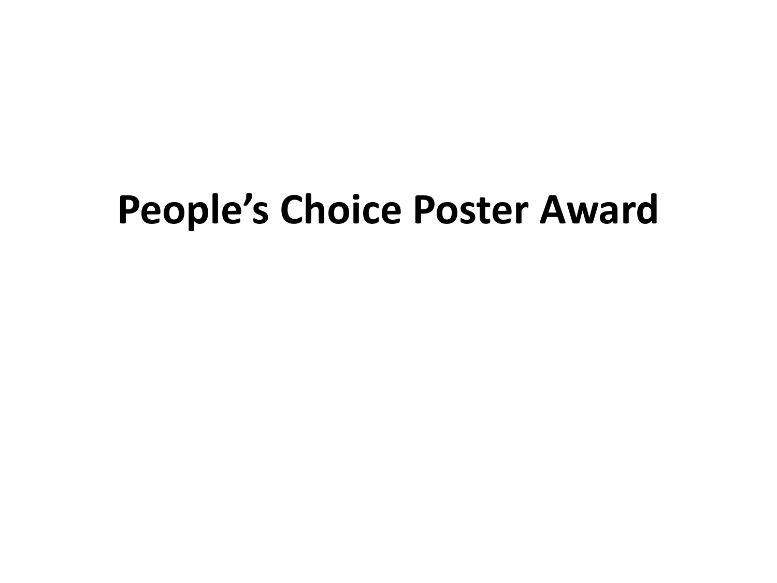## **People's Choice Poster Award**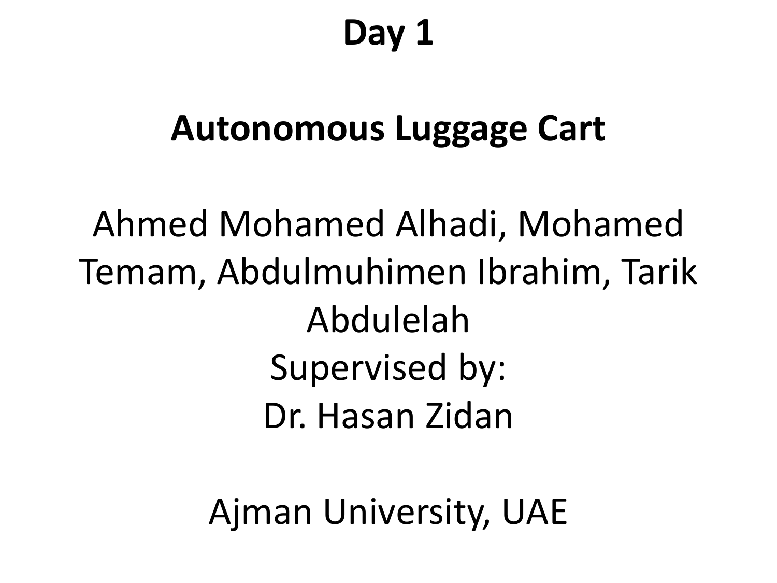#### **Day 1**

#### **Autonomous Luggage Cart**

Ahmed Mohamed Alhadi, Mohamed Temam, Abdulmuhimen Ibrahim, Tarik Abdulelah Supervised by: Dr. Hasan Zidan

Ajman University, UAE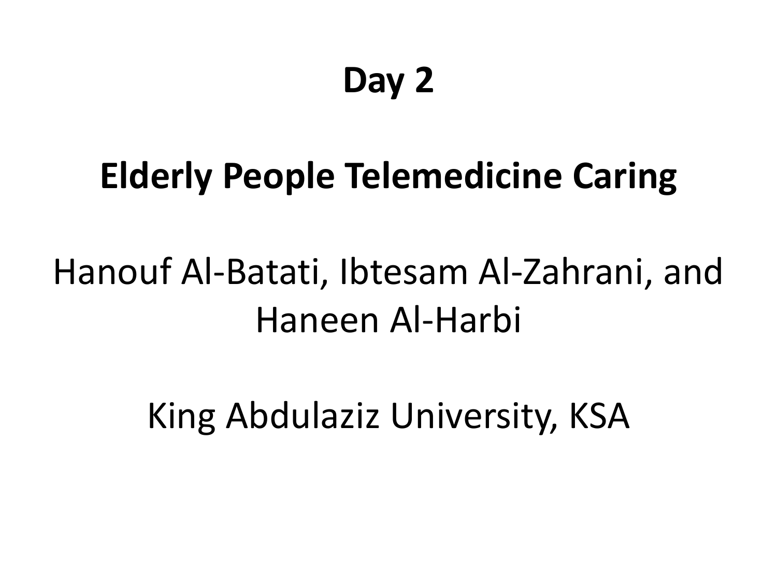## **Day 2**

#### **Elderly People Telemedicine Caring**

## Hanouf Al-Batati, Ibtesam Al-Zahrani, and Haneen Al-Harbi

King Abdulaziz University, KSA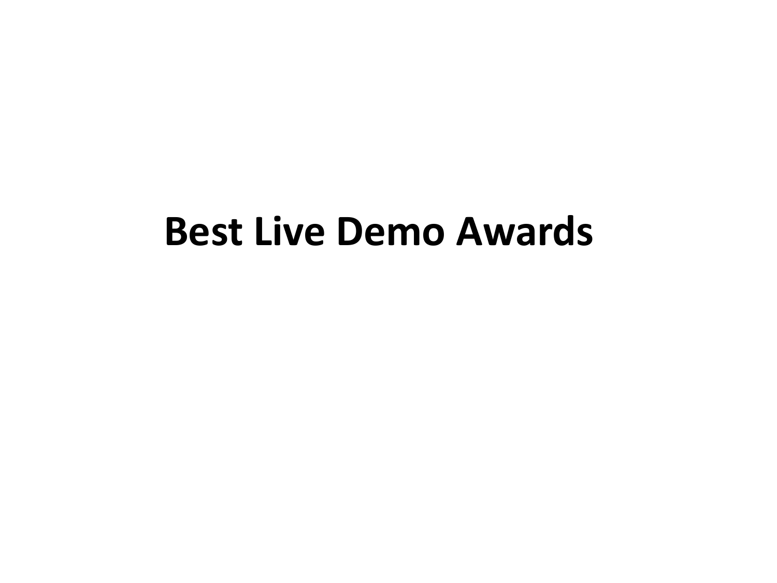#### **Best Live Demo Awards**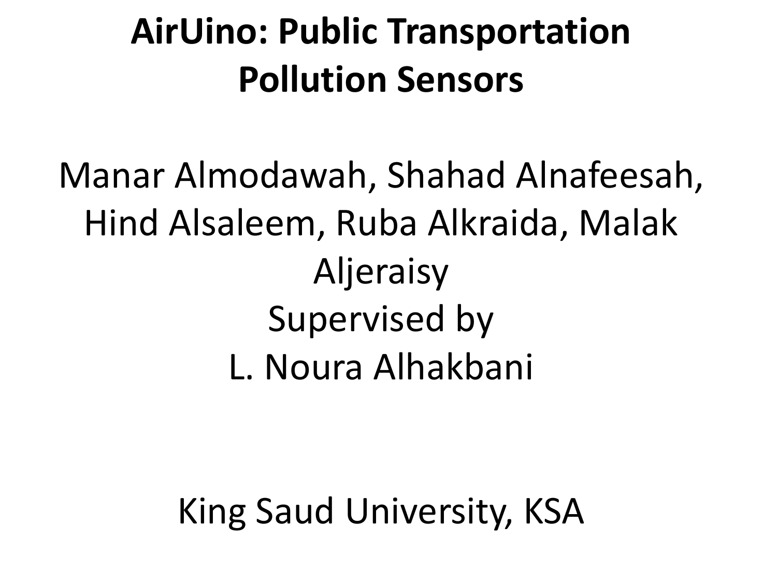## **AirUino: Public Transportation Pollution Sensors**

Manar Almodawah, Shahad Alnafeesah, Hind Alsaleem, Ruba Alkraida, Malak Aljeraisy Supervised by L. Noura Alhakbani

King Saud University, KSA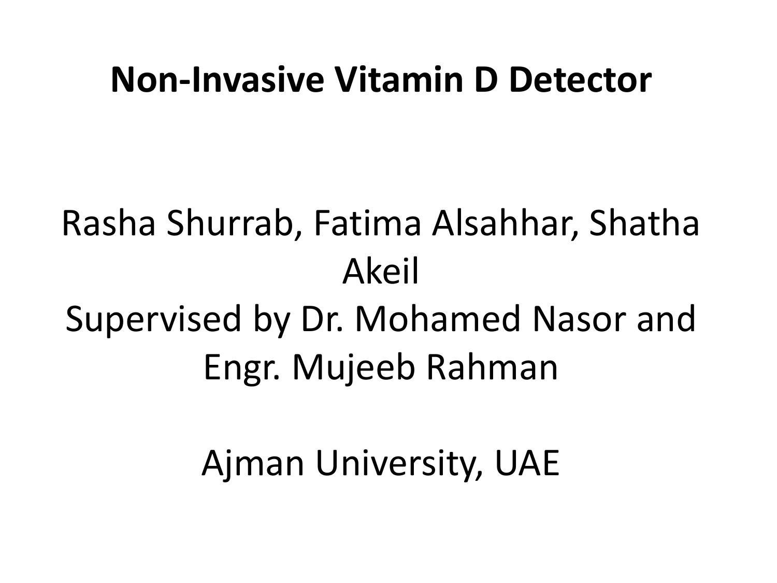#### **Non-Invasive Vitamin D Detector**

# Rasha Shurrab, Fatima Alsahhar, Shatha Akeil

#### Supervised by Dr. Mohamed Nasor and Engr. Mujeeb Rahman

#### Ajman University, UAE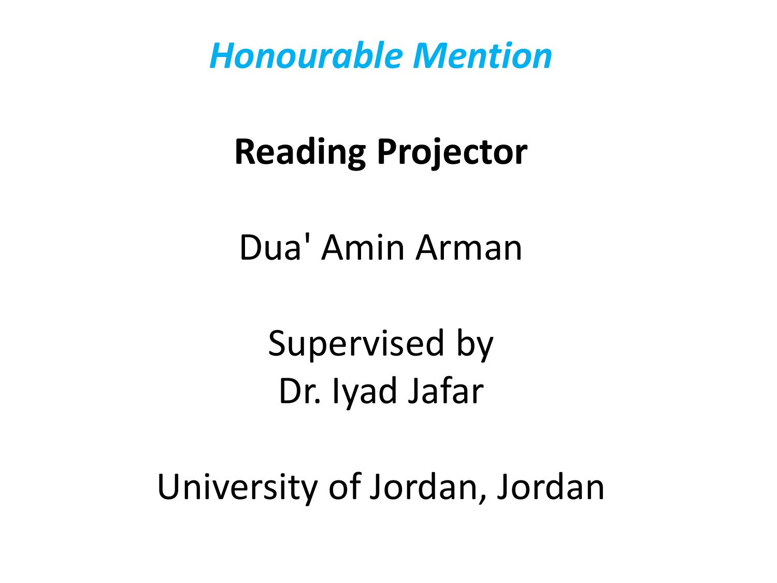#### **Reading Projector**

Dua' Amin Arman

Supervised by Dr. Iyad Jafar

University of Jordan, Jordan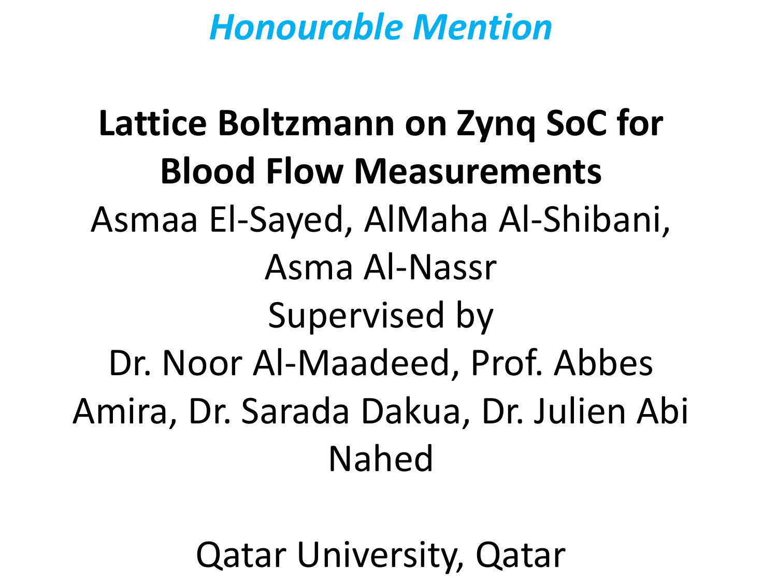**Lattice Boltzmann on Zynq SoC for Blood Flow Measurements** Asmaa El-Sayed, AlMaha Al-Shibani, Asma Al-Nassr Supervised by Dr. Noor Al-Maadeed, Prof. Abbes Amira, Dr. Sarada Dakua, Dr. Julien Abi Nahed

Qatar University, Qatar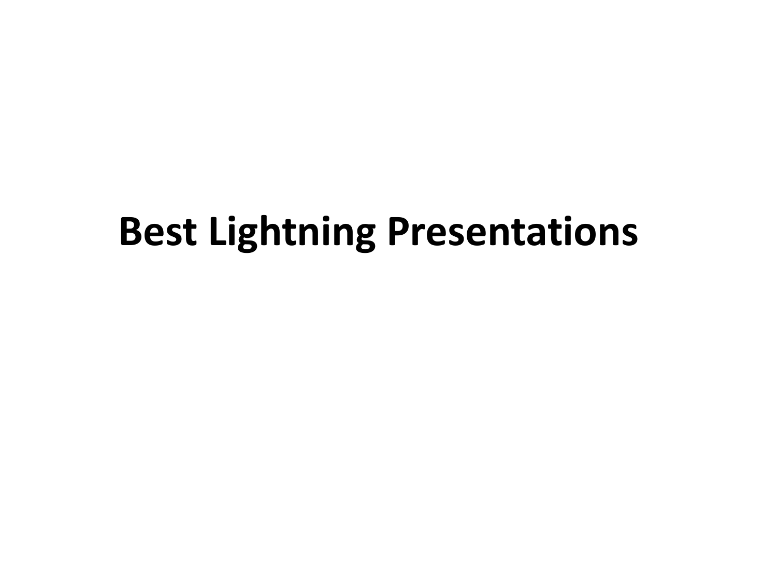## **Best Lightning Presentations**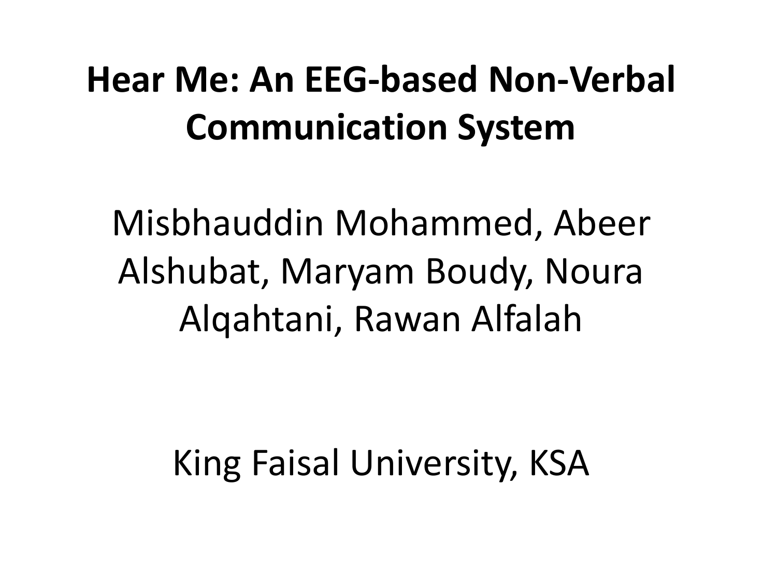## **Hear Me: An EEG-based Non-Verbal Communication System**

Misbhauddin Mohammed, Abeer Alshubat, Maryam Boudy, Noura Alqahtani, Rawan Alfalah

#### King Faisal University, KSA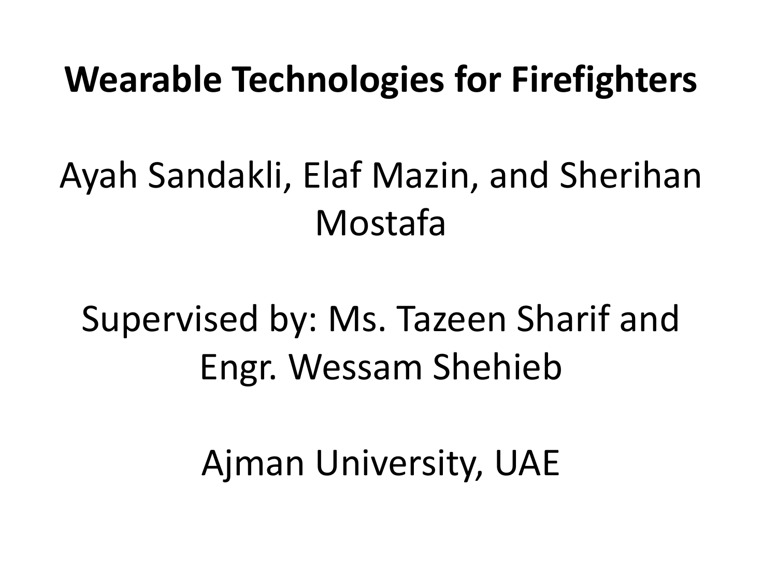#### **Wearable Technologies for Firefighters**

## Ayah Sandakli, Elaf Mazin, and Sherihan Mostafa

## Supervised by: Ms. Tazeen Sharif and Engr. Wessam Shehieb

#### Ajman University, UAE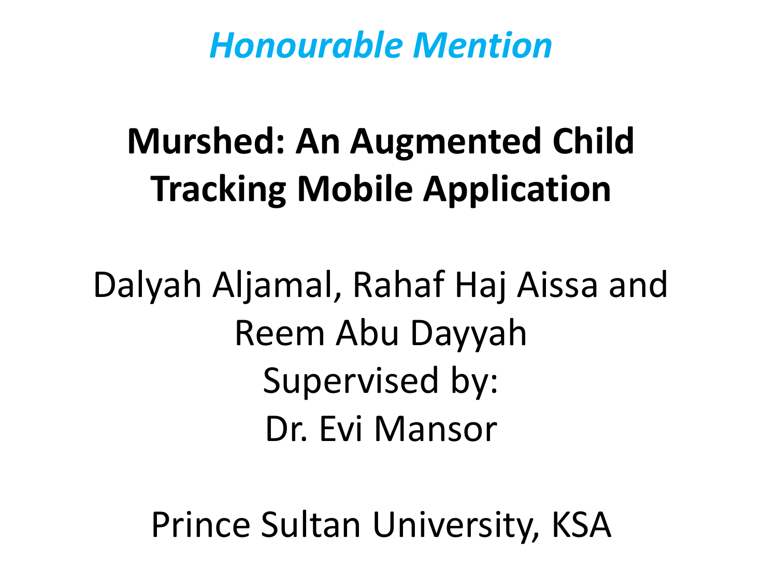## **Murshed: An Augmented Child Tracking Mobile Application**

Dalyah Aljamal, Rahaf Haj Aissa and Reem Abu Dayyah Supervised by: Dr. Evi Mansor

Prince Sultan University, KSA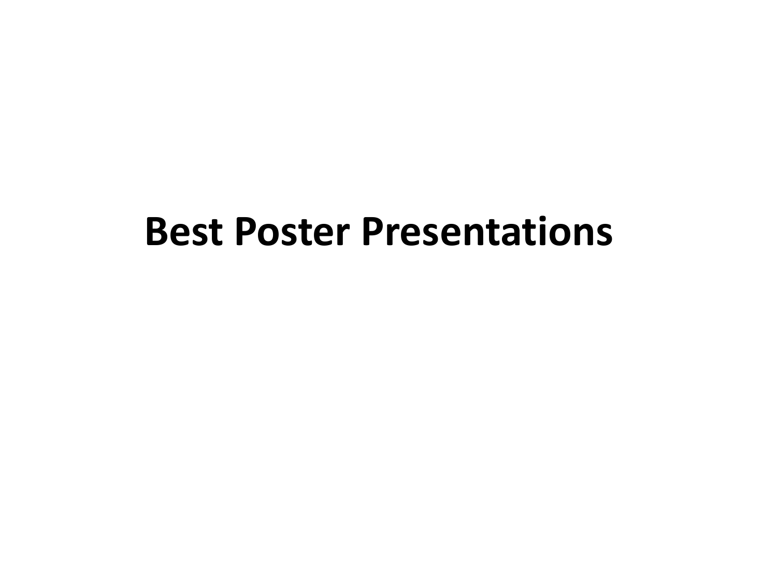#### **Best Poster Presentations**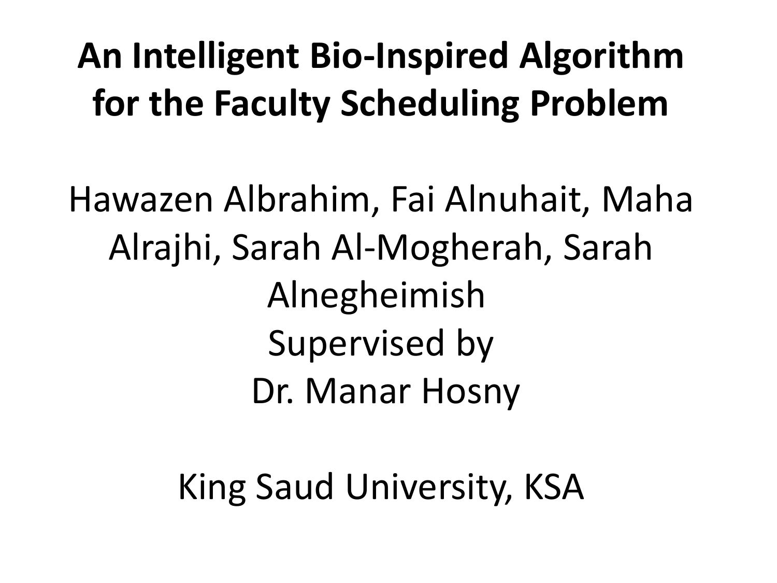## **An Intelligent Bio-Inspired Algorithm for the Faculty Scheduling Problem**

Hawazen Albrahim, Fai Alnuhait, Maha Alrajhi, Sarah Al-Mogherah, Sarah Alnegheimish Supervised by Dr. Manar Hosny

King Saud University, KSA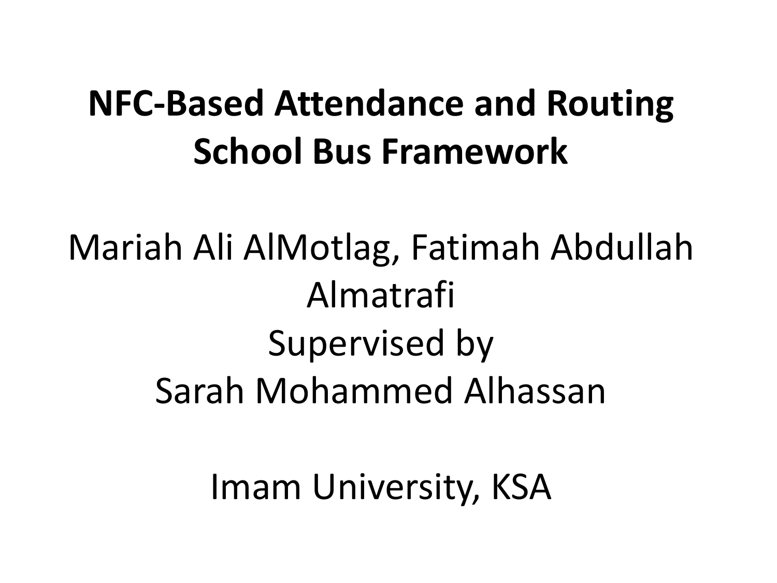#### **NFC-Based Attendance and Routing School Bus Framework**

Mariah Ali AlMotlag, Fatimah Abdullah Almatrafi Supervised by Sarah Mohammed Alhassan

Imam University, KSA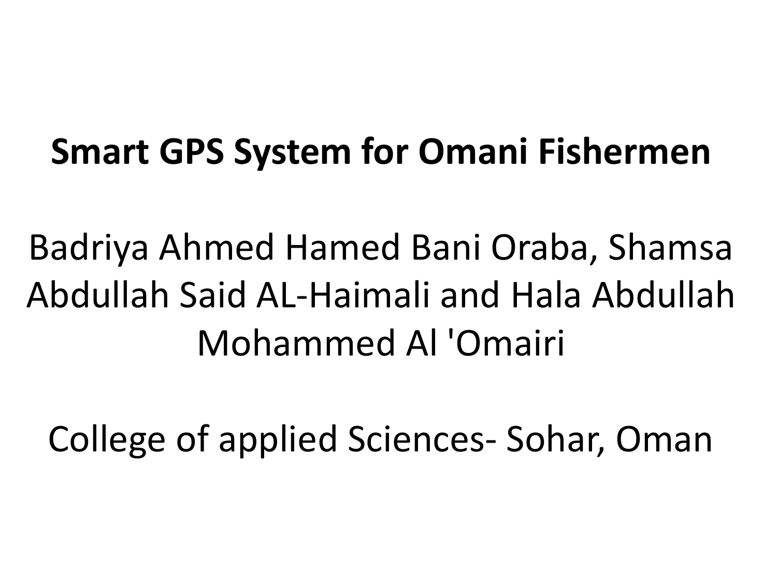#### **Smart GPS System for Omani Fishermen**

Badriya Ahmed Hamed Bani Oraba, Shamsa Abdullah Said AL-Haimali and Hala Abdullah Mohammed Al 'Omairi

College of applied Sciences- Sohar, Oman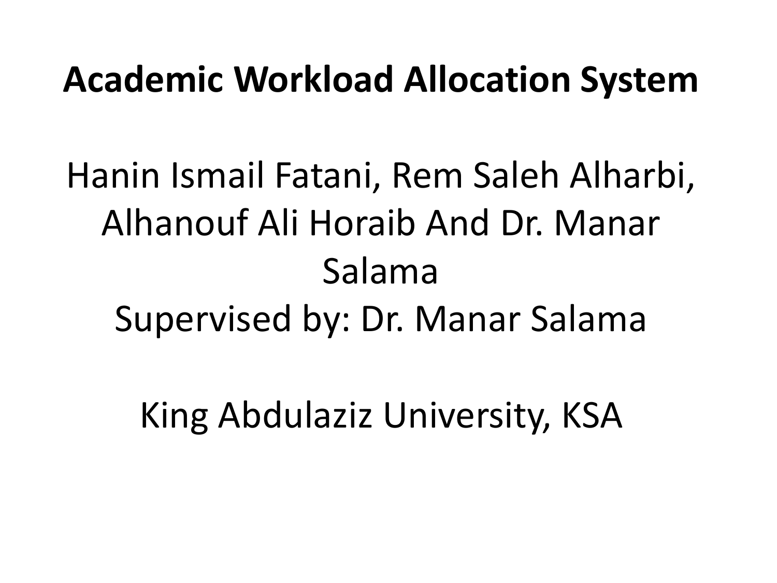#### **Academic Workload Allocation System**

Hanin Ismail Fatani, Rem Saleh Alharbi, Alhanouf Ali Horaib And Dr. Manar Salama Supervised by: Dr. Manar Salama

King Abdulaziz University, KSA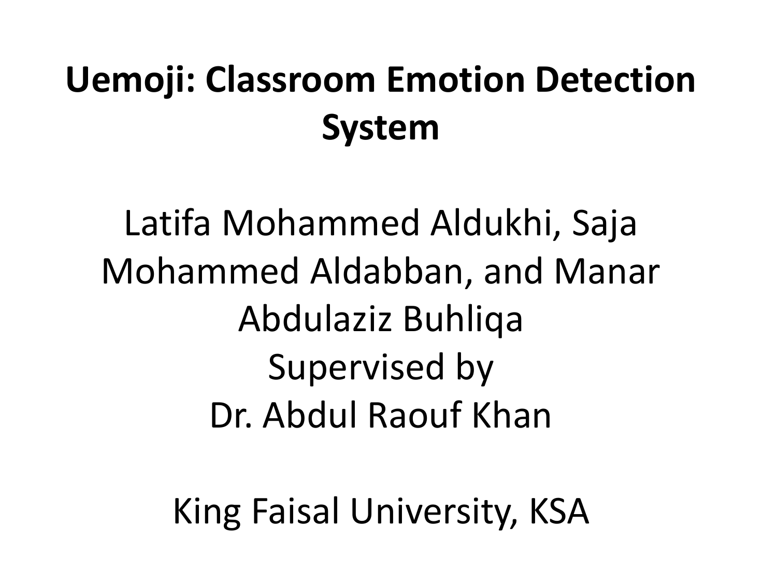## **Uemoji: Classroom Emotion Detection System**

Latifa Mohammed Aldukhi, Saja Mohammed Aldabban, and Manar Abdulaziz Buhliqa Supervised by Dr. Abdul Raouf Khan

King Faisal University, KSA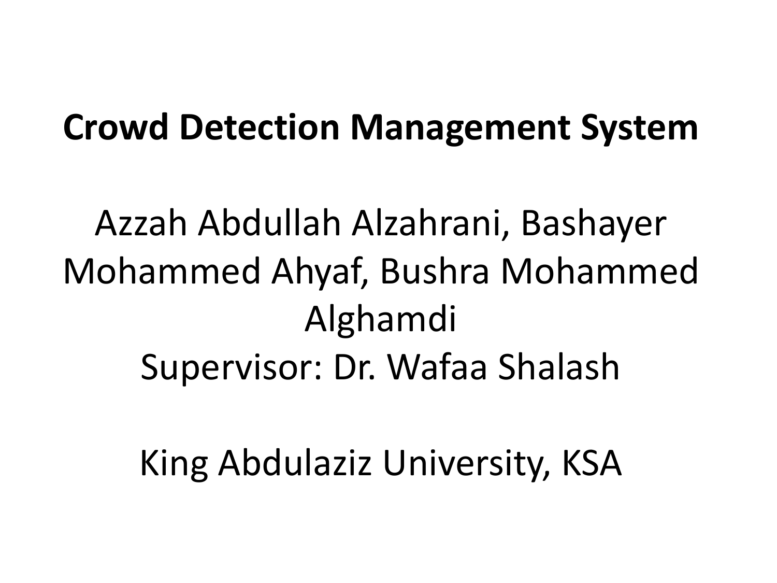#### **Crowd Detection Management System**

Azzah Abdullah Alzahrani, Bashayer Mohammed Ahyaf, Bushra Mohammed Alghamdi Supervisor: Dr. Wafaa Shalash

King Abdulaziz University, KSA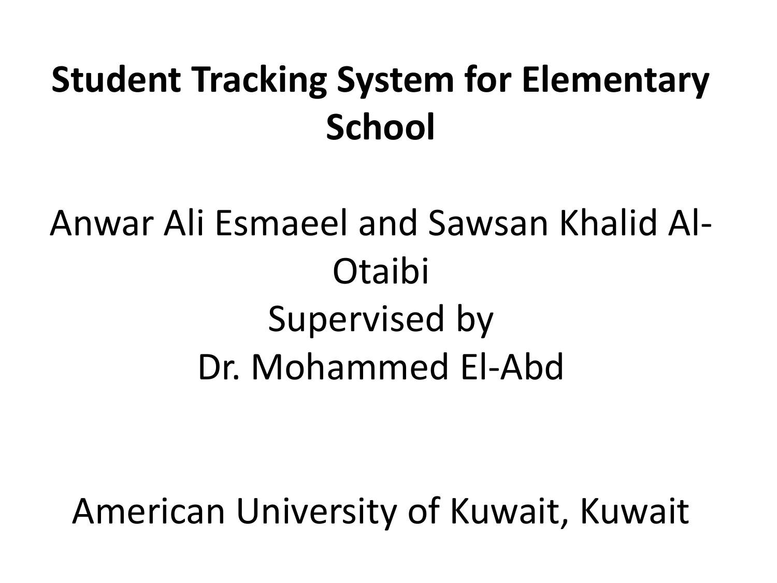## **Student Tracking System for Elementary School**

Anwar Ali Esmaeel and Sawsan Khalid Al-Otaibi Supervised by Dr. Mohammed El-Abd

American University of Kuwait, Kuwait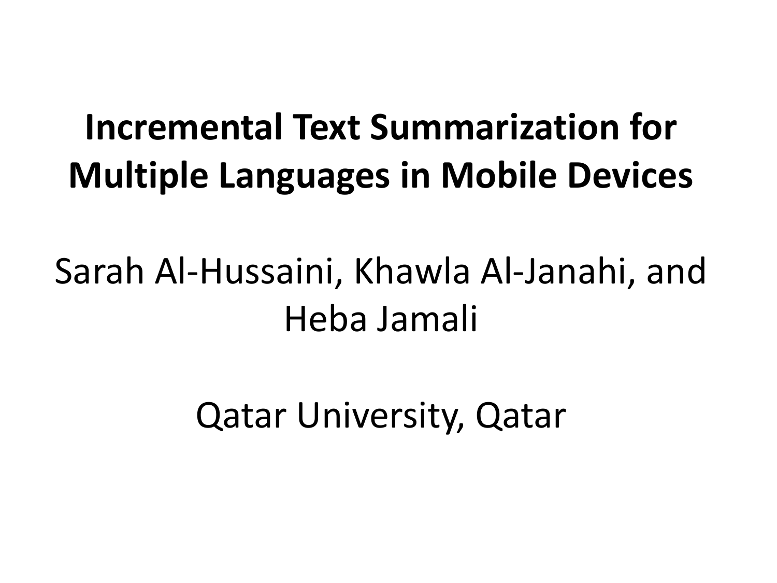## **Incremental Text Summarization for Multiple Languages in Mobile Devices**

## Sarah Al-Hussaini, Khawla Al-Janahi, and Heba Jamali

Qatar University, Qatar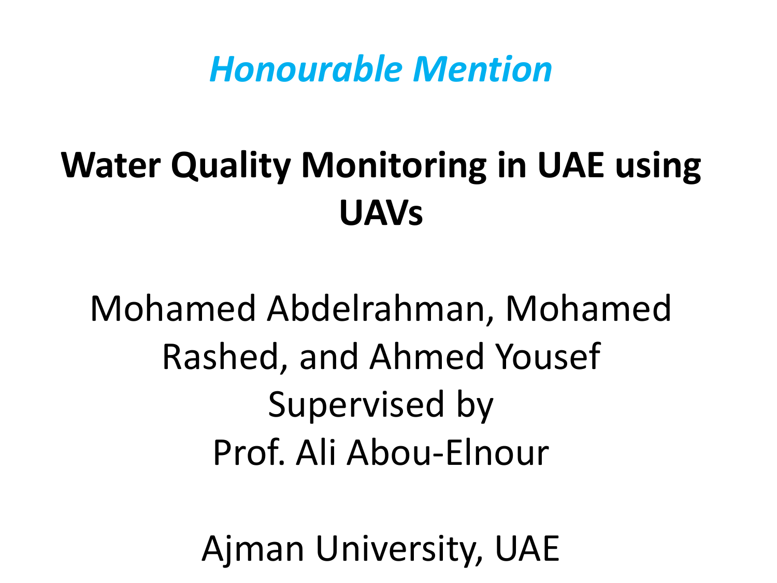## **Water Quality Monitoring in UAE using UAVs**

Mohamed Abdelrahman, Mohamed Rashed, and Ahmed Yousef Supervised by Prof. Ali Abou-Elnour

Ajman University, UAE